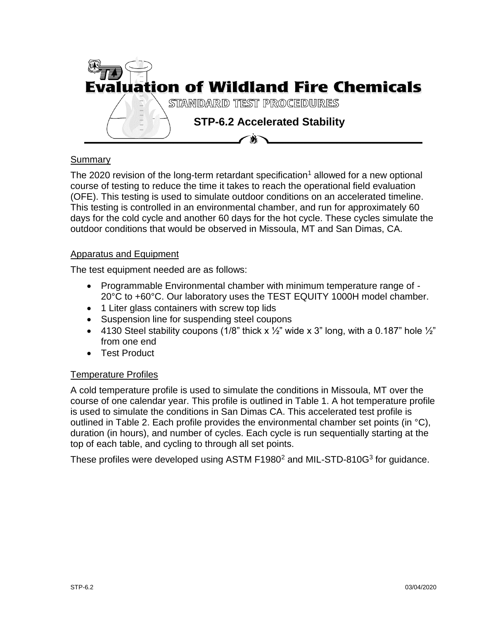

## Summary

The 2020 revision of the long-term retardant specification<sup>1</sup> allowed for a new optional course of testing to reduce the time it takes to reach the operational field evaluation (OFE). This testing is used to simulate outdoor conditions on an accelerated timeline. This testing is controlled in an environmental chamber, and run for approximately 60 days for the cold cycle and another 60 days for the hot cycle. These cycles simulate the outdoor conditions that would be observed in Missoula, MT and San Dimas, CA.

#### Apparatus and Equipment

The test equipment needed are as follows:

- Programmable Environmental chamber with minimum temperature range of 20°C to +60°C. Our laboratory uses the TEST EQUITY 1000H model chamber.
- 1 Liter glass containers with screw top lids
- Suspension line for suspending steel coupons
- 4130 Steel stability coupons (1/8" thick  $x \frac{1}{2}$ " wide x 3" long, with a 0.187" hole  $\frac{1}{2}$ " from one end
- Test Product

## Temperature Profiles

A cold temperature profile is used to simulate the conditions in Missoula, MT over the course of one calendar year. This profile is outlined in Table 1. A hot temperature profile is used to simulate the conditions in San Dimas CA. This accelerated test profile is outlined in Table 2. Each profile provides the environmental chamber set points (in  $\degree$ C), duration (in hours), and number of cycles. Each cycle is run sequentially starting at the top of each table, and cycling to through all set points.

These profiles were developed using ASTM F1980<sup>2</sup> and MIL-STD-810G<sup>3</sup> for guidance.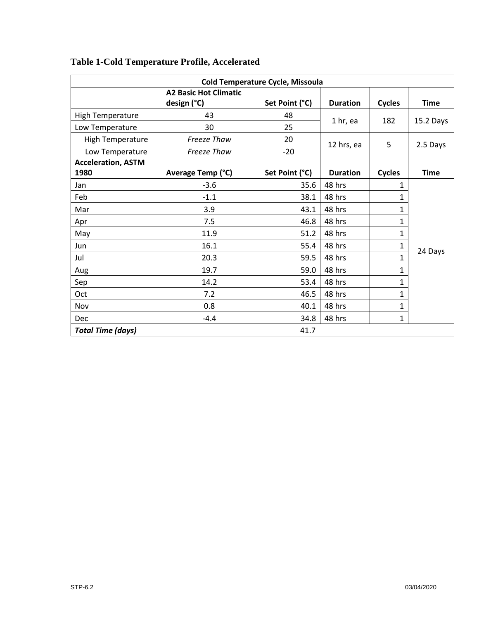| <b>Cold Temperature Cycle, Missoula</b> |                              |                |                 |               |             |  |  |  |
|-----------------------------------------|------------------------------|----------------|-----------------|---------------|-------------|--|--|--|
|                                         | <b>A2 Basic Hot Climatic</b> |                |                 |               |             |  |  |  |
|                                         | design (°C)                  | Set Point (°C) | <b>Duration</b> | <b>Cycles</b> | <b>Time</b> |  |  |  |
| <b>High Temperature</b>                 | 43                           | 48             | 1 hr, ea        | 182           | 15.2 Days   |  |  |  |
| Low Temperature                         | 30                           | 25             |                 |               |             |  |  |  |
| <b>High Temperature</b>                 | Freeze Thaw                  | 20             | 12 hrs, ea      | 5             | 2.5 Days    |  |  |  |
| Low Temperature                         | <b>Freeze Thaw</b>           | $-20$          |                 |               |             |  |  |  |
| <b>Acceleration, ASTM</b>               |                              |                |                 |               |             |  |  |  |
| 1980                                    | Average Temp (°C)            | Set Point (°C) | <b>Duration</b> | <b>Cycles</b> | <b>Time</b> |  |  |  |
| Jan                                     | $-3.6$                       | 35.6           | 48 hrs          | 1             | 24 Days     |  |  |  |
| Feb                                     | $-1.1$                       | 38.1           | 48 hrs          | 1             |             |  |  |  |
| Mar                                     | 3.9                          | 43.1           | 48 hrs          | 1             |             |  |  |  |
| Apr                                     | 7.5                          | 46.8           | 48 hrs          | $\mathbf 1$   |             |  |  |  |
| May                                     | 11.9                         | 51.2           | 48 hrs          | 1             |             |  |  |  |
| Jun                                     | 16.1                         | 55.4           | 48 hrs          | 1             |             |  |  |  |
| Jul                                     | 20.3                         | 59.5           | 48 hrs          | 1             |             |  |  |  |
| Aug                                     | 19.7                         | 59.0           | 48 hrs          | $\mathbf 1$   |             |  |  |  |
| Sep                                     | 14.2                         | 53.4           | 48 hrs          | 1             |             |  |  |  |
| Oct                                     | 7.2                          | 46.5           | 48 hrs          | 1<br>1        |             |  |  |  |
| Nov                                     | 0.8                          | 40.1           | 48 hrs          |               |             |  |  |  |
| Dec                                     | $-4.4$                       | 34.8           | 48 hrs          | 1             |             |  |  |  |
| <b>Total Time (days)</b>                |                              | 41.7           |                 |               |             |  |  |  |

# **Table 1-Cold Temperature Profile, Accelerated**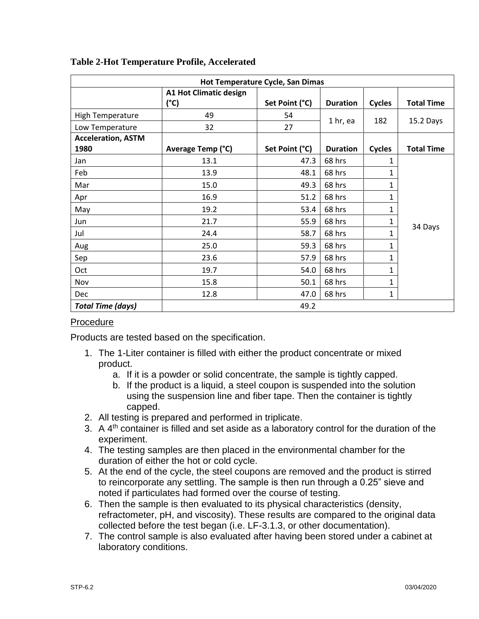| Hot Temperature Cycle, San Dimas |                                       |                |                 |               |                   |  |  |  |
|----------------------------------|---------------------------------------|----------------|-----------------|---------------|-------------------|--|--|--|
|                                  | <b>A1 Hot Climatic design</b><br>(°C) | Set Point (°C) | <b>Duration</b> | <b>Cycles</b> | <b>Total Time</b> |  |  |  |
| <b>High Temperature</b>          | 49                                    | 54             | 1 hr, ea        | 182           | 15.2 Days         |  |  |  |
| Low Temperature                  | 32                                    | 27             |                 |               |                   |  |  |  |
| <b>Acceleration, ASTM</b>        |                                       |                |                 |               |                   |  |  |  |
| 1980                             | Average Temp (°C)                     | Set Point (°C) | <b>Duration</b> | <b>Cycles</b> | <b>Total Time</b> |  |  |  |
| Jan                              | 13.1                                  | 47.3           | 68 hrs          | 1             | 34 Days           |  |  |  |
| Feb                              | 13.9                                  | 48.1           | 68 hrs          | 1             |                   |  |  |  |
| Mar                              | 15.0                                  | 49.3           | 68 hrs          | 1             |                   |  |  |  |
| Apr                              | 16.9                                  | 51.2           | 68 hrs          | 1             |                   |  |  |  |
| May                              | 19.2                                  | 53.4           | 68 hrs          | 1             |                   |  |  |  |
| Jun                              | 21.7                                  | 55.9           | 68 hrs          | 1             |                   |  |  |  |
| Jul                              | 24.4                                  | 58.7           | 68 hrs          | 1             |                   |  |  |  |
| Aug                              | 25.0                                  | 59.3           | 68 hrs          | 1             |                   |  |  |  |
| Sep                              | 23.6                                  | 57.9           | 68 hrs          | 1             |                   |  |  |  |
| Oct                              | 19.7                                  | 54.0           | 68 hrs          | 1             |                   |  |  |  |
| Nov                              | 15.8                                  | 50.1           | 68 hrs          | 1             |                   |  |  |  |
| <b>Dec</b>                       | 12.8                                  | 47.0           | 68 hrs          | 1             |                   |  |  |  |
| <b>Total Time (days)</b>         |                                       | 49.2           |                 |               |                   |  |  |  |

### **Table 2-Hot Temperature Profile, Accelerated**

## Procedure

Products are tested based on the specification.

- 1. The 1-Liter container is filled with either the product concentrate or mixed product.
	- a. If it is a powder or solid concentrate, the sample is tightly capped.
	- b. If the product is a liquid, a steel coupon is suspended into the solution using the suspension line and fiber tape. Then the container is tightly capped.
- 2. All testing is prepared and performed in triplicate.
- 3. A  $4<sup>th</sup>$  container is filled and set aside as a laboratory control for the duration of the experiment.
- 4. The testing samples are then placed in the environmental chamber for the duration of either the hot or cold cycle.
- 5. At the end of the cycle, the steel coupons are removed and the product is stirred to reincorporate any settling. The sample is then run through a 0.25" sieve and noted if particulates had formed over the course of testing.
- 6. Then the sample is then evaluated to its physical characteristics (density, refractometer, pH, and viscosity). These results are compared to the original data collected before the test began (i.e. LF-3.1.3, or other documentation).
- 7. The control sample is also evaluated after having been stored under a cabinet at laboratory conditions.